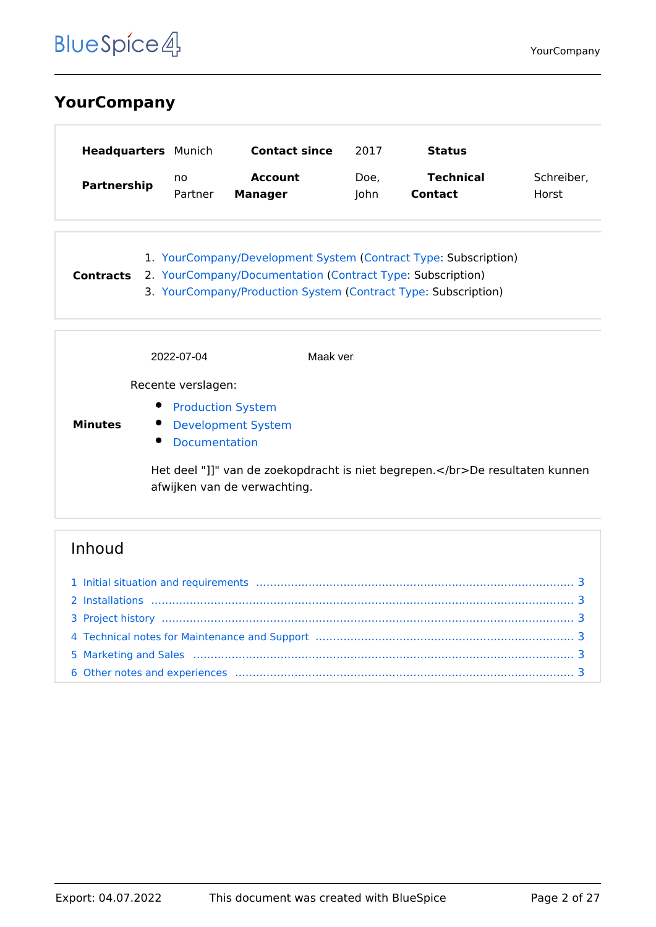# <span id="page-1-0"></span>**YourCompany**

| <b>Headquarters</b> Munich |         | <b>Contact since</b> | 2017 | Status           |            |
|----------------------------|---------|----------------------|------|------------------|------------|
| Partnership                | no      | <b>Account</b>       | Doe, | <b>Technical</b> | Schreiber, |
|                            | Partner | <b>Manager</b>       | lohn | <b>Contact</b>   | Horst      |

1. [YourCompany/Development System](#page-5-0) ([Contract Type](#page-3-0): Subscription) **Contracts** 2. [YourCompany/Documentation](#page-9-0) ([Contract Type:](#page-3-0) Subscription) 3. [YourCompany/Production System](#page-23-0) [\(Contract Type](#page-3-0): Subscription)

|                | 2022-07-04                                                                                                    | Maak ver                                                                |
|----------------|---------------------------------------------------------------------------------------------------------------|-------------------------------------------------------------------------|
|                | Recente verslagen:                                                                                            |                                                                         |
| <b>Minutes</b> | $\bullet$<br><b>Production System</b><br><b>Development System</b><br>$\bullet$<br>$\bullet$<br>Documentation |                                                                         |
|                | afwijken van de verwachting.                                                                                  | Het deel "]]" van de zoekopdracht is niet begrepen.De resultaten kunnen |

| 4 Technical notes for Maintenance and Support manufactured manufactured and Support manufactured and Support manufactured manufactured and Support manufactured and Support manufactured and Support manufactured and Support |  |
|-------------------------------------------------------------------------------------------------------------------------------------------------------------------------------------------------------------------------------|--|
|                                                                                                                                                                                                                               |  |
|                                                                                                                                                                                                                               |  |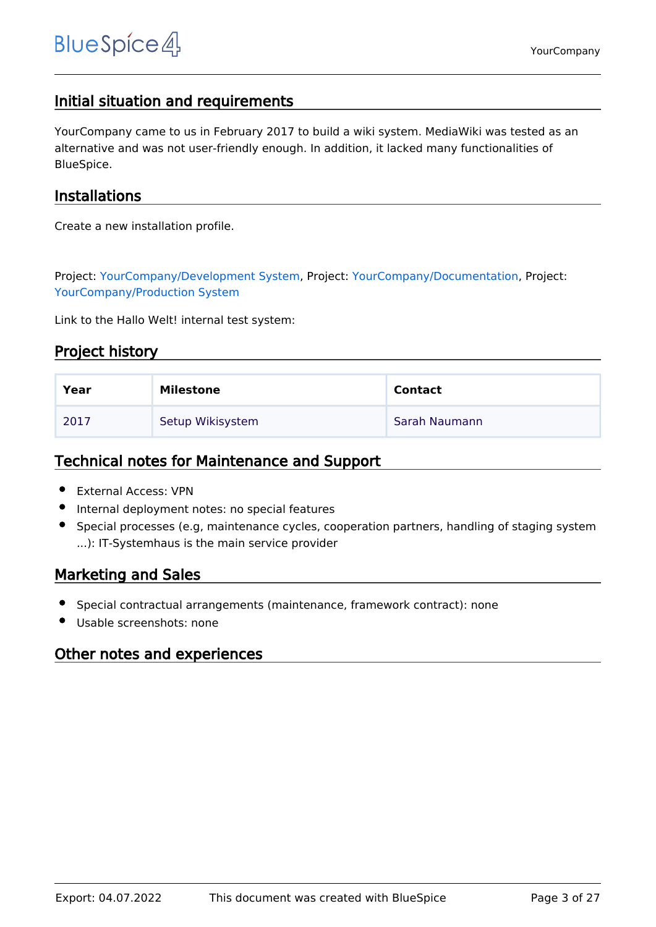# <span id="page-2-0"></span>Initial situation and requirements

YourCompany came to us in February 2017 to build a wiki system. MediaWiki was tested as an alternative and was not user-friendly enough. In addition, it lacked many functionalities of BlueSpice.

## <span id="page-2-1"></span>Installations

Create a new installation profile.

Project: [YourCompany/Development System](#page-5-0), Project: [YourCompany/Documentation,](#page-9-0) Project: [YourCompany/Production System](#page-23-0)

Link to the Hallo Welt! internal test system:

# <span id="page-2-2"></span>Project history

| Year | Milestone        | <b>Contact</b> |
|------|------------------|----------------|
| 2017 | Setup Wikisystem | Sarah Naumann  |

## <span id="page-2-3"></span>Technical notes for Maintenance and Support

- External Access: VPN
- Internal deployment notes: no special features
- Special processes (e.g, maintenance cycles, cooperation partners, handling of staging system ...): IT-Systemhaus is the main service provider

# <span id="page-2-4"></span>Marketing and Sales

- Special contractual arrangements (maintenance, framework contract): none
- Usable screenshots: none

## <span id="page-2-5"></span>Other notes and experiences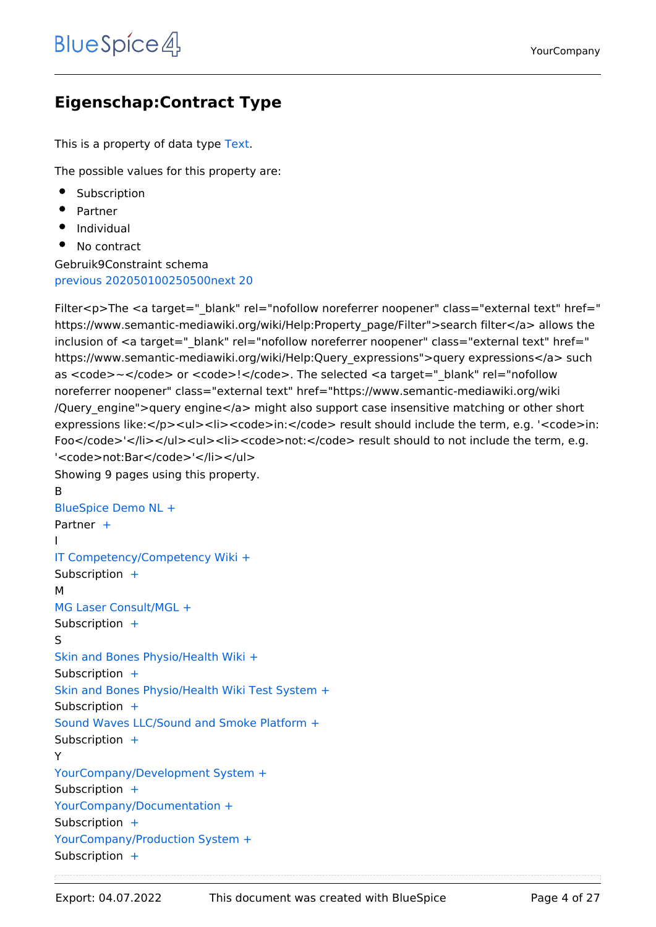# <span id="page-3-0"></span>**Eigenschap:Contract Type**

This is a property of data type [Text](https://nl.demo.bluespice.com/wiki/Speciaal:Typen/Tekst).

The possible values for this property are:

- Subscription
- Partner
- Individual
- No contract

Gebruik9Constraint schema [previous 20](https://nl.demo.bluespice.com)[2050100250500](#page-3-0)[next 20](https://nl.demo.bluespice.com)

Filter<p>The <a target=" blank" rel="nofollow noreferrer noopener" class="external text" href=" https://www.semantic-mediawiki.org/wiki/Help:Property\_page/Filter">search filter</a> allows the inclusion of <a target=" blank" rel="nofollow noreferrer noopener" class="external text" href=" https://www.semantic-mediawiki.org/wiki/Help:Query\_expressions">query expressions</a> such as <code>~</code> or <code>!</code>. The selected <a target="\_blank" rel="nofollow noreferrer noopener" class="external text" href="https://www.semantic-mediawiki.org/wiki /Query\_engine">query engine</a> might also support case insensitive matching or other short expressions like:</p><ul><li><code>in:</code> result should include the term, e.g. '<code>in: Foo</code>'</li></ul><ul><li><code>not:</code> result should to not include the term, e.g. '<code>not:Bar</code>'</li></ul>

```
Showing 9 pages using this property.
B
BlueSpice Demo NL +
+
I
IT Competency/Competency Wiki +
Subscription +M
MG Laser Consult/MGL +
Subscription  +
S
Skin and Bones Physio/Health Wiki +
Subscription  +
Skin and Bones Physio/Health Wiki Test System +
Subscription +Sound Waves LLC/Sound and Smoke Platform +
 +
Y
YourCompany/Development System +
Subscription +YourCompany/Documentation +
Subscription  +
YourCompany/Production System +
Subscription  +
```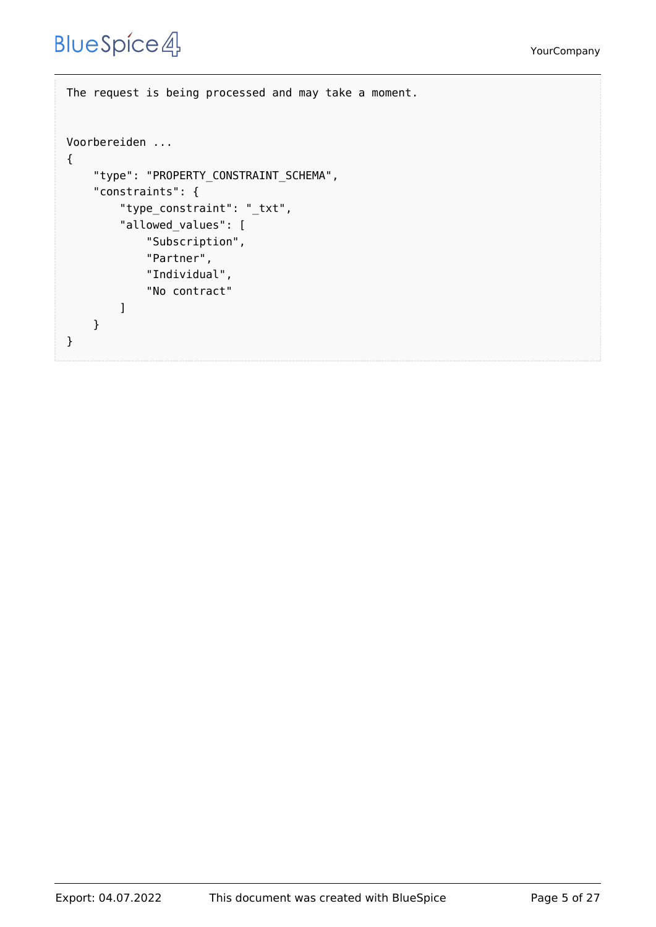The request is being processed and may take a moment. Voorbereiden ... { "type": "PROPERTY\_CONSTRAINT\_SCHEMA", "constraints": { "type\_constraint": "\_txt", "allowed\_values": [ "Subscription", "Partner", "Individual", "No contract" ] } }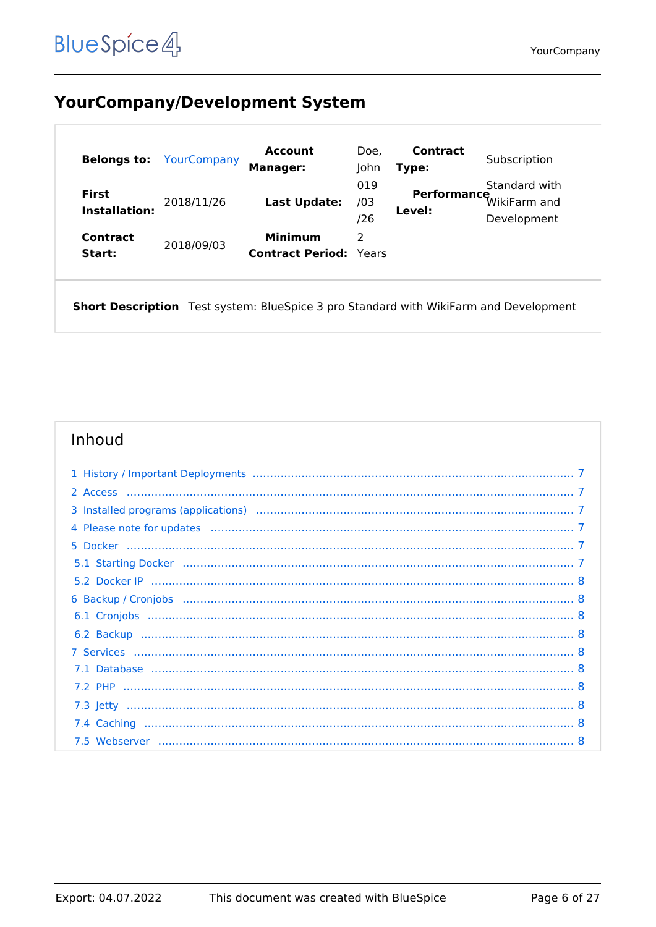# <span id="page-5-0"></span>**YourCompany/Development System**

| <b>Belongs to:</b>                   | YourCompany | <b>Account</b><br><b>Manager:</b>               | Doe,<br>John      | <b>Contract</b><br>Type:     | Subscription                                 |
|--------------------------------------|-------------|-------------------------------------------------|-------------------|------------------------------|----------------------------------------------|
| <b>First</b><br><b>Installation:</b> | 2018/11/26  | Last Update:                                    | 019<br>/03<br>/26 | <b>Performance</b><br>Level: | Standard with<br>WikiFarm and<br>Development |
| Contract<br>Start:                   | 2018/09/03  | <b>Minimum</b><br><b>Contract Period: Years</b> | 2                 |                              |                                              |

Short Description Test system: BlueSpice 3 pro Standard with WikiFarm and Development

| 3 Installed programs (applications) manufactured contain manufactured programs (applications) |  |
|-----------------------------------------------------------------------------------------------|--|
|                                                                                               |  |
|                                                                                               |  |
|                                                                                               |  |
|                                                                                               |  |
|                                                                                               |  |
|                                                                                               |  |
|                                                                                               |  |
|                                                                                               |  |
|                                                                                               |  |
|                                                                                               |  |
|                                                                                               |  |
|                                                                                               |  |
|                                                                                               |  |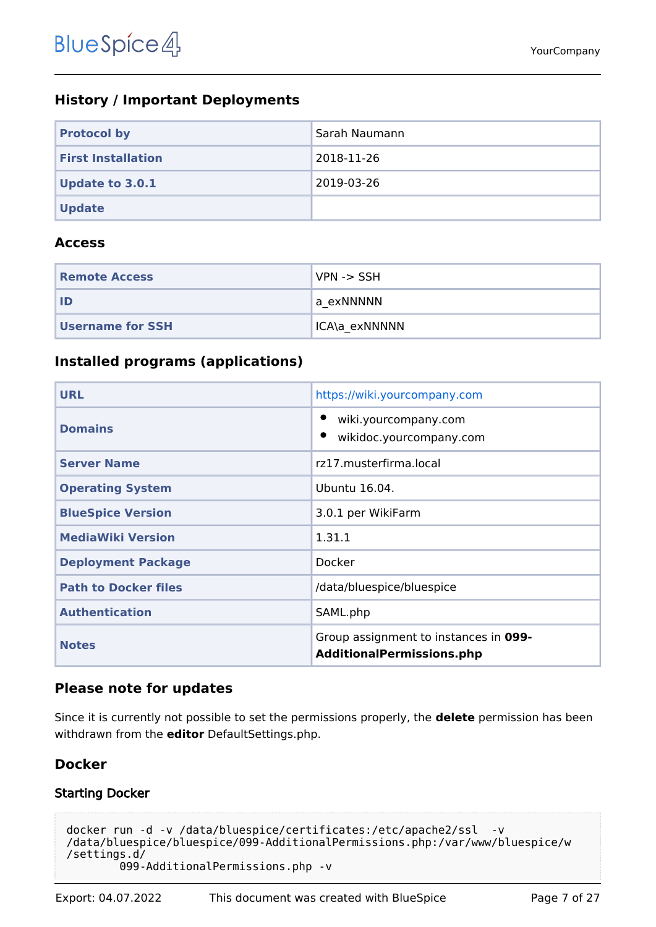# <span id="page-6-0"></span>**History / Important Deployments**

| <b>Protocol by</b>        | Sarah Naumann |
|---------------------------|---------------|
| <b>First Installation</b> | 2018-11-26    |
| <b>Update to 3.0.1</b>    | 2019-03-26    |
| <b>Update</b>             |               |

#### <span id="page-6-1"></span>**Access**

| <b>Remote Access</b>    | $VPN \rightarrow SSH$ |
|-------------------------|-----------------------|
| ID                      | a exNNNNN             |
| <b>Username for SSH</b> | ICA\a exNNNNN         |

## <span id="page-6-2"></span>**Installed programs (applications)**

| <b>URL</b>                  | https://wiki.yourcompany.com                                              |
|-----------------------------|---------------------------------------------------------------------------|
| <b>Domains</b>              | wiki.yourcompany.com<br>wikidoc.yourcompany.com                           |
| <b>Server Name</b>          | rz17.musterfirma.local                                                    |
| <b>Operating System</b>     | Ubuntu 16.04.                                                             |
| <b>BlueSpice Version</b>    | 3.0.1 per WikiFarm                                                        |
| <b>MediaWiki Version</b>    | 1.31.1                                                                    |
| <b>Deployment Package</b>   | Docker                                                                    |
| <b>Path to Docker files</b> | /data/bluespice/bluespice                                                 |
| <b>Authentication</b>       | SAML.php                                                                  |
| <b>Notes</b>                | Group assignment to instances in 099-<br><b>AdditionalPermissions.php</b> |

## <span id="page-6-3"></span>**Please note for updates**

Since it is currently not possible to set the permissions properly, the **delete** permission has been withdrawn from the **editor** DefaultSettings.php.

# <span id="page-6-4"></span>**Docker**

## <span id="page-6-5"></span>Starting Docker

```
docker run -d -v /data/bluespice/certificates:/etc/apache2/ssl -v 
/data/bluespice/bluespice/099-AdditionalPermissions.php:/var/www/bluespice/w
/settings.d/
         099-AdditionalPermissions.php -v
```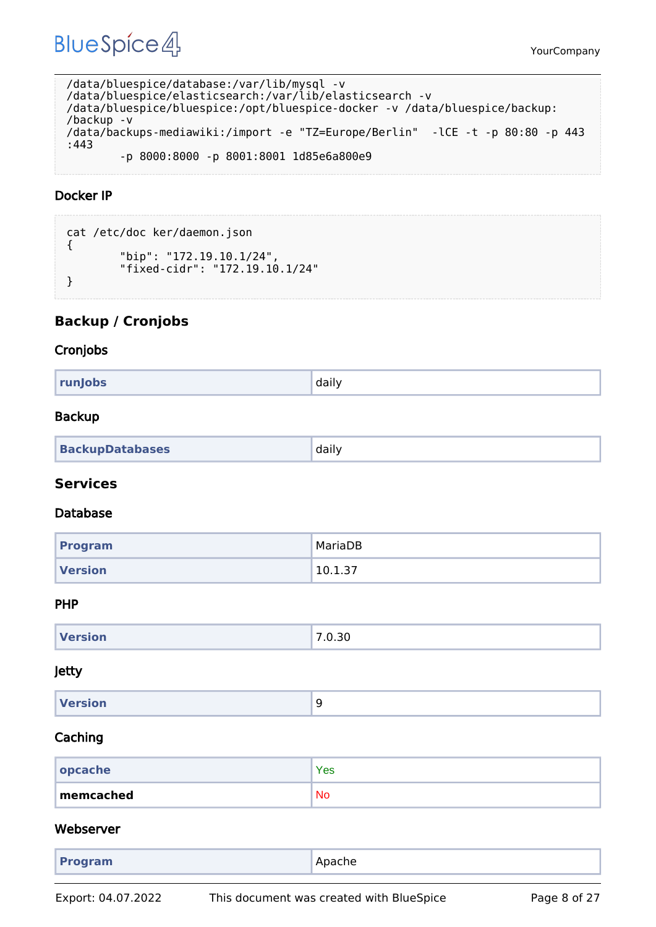YourCompany

```
/data/bluespice/database:/var/lib/mysql -v 
/data/bluespice/elasticsearch:/var/lib/elasticsearch -v 
/data/bluespice/bluespice:/opt/bluespice-docker -v /data/bluespice/backup:
/backup -v 
/data/backups-mediawiki:/import -e "TZ=Europe/Berlin" -lCE -t -p 80:80 -p 443
:443 
         -p 8000:8000 -p 8001:8001 1d85e6a800e9
```
#### <span id="page-7-0"></span>Docker IP

```
cat /etc/doc ker/daemon.json
{
         "bip": "172.19.10.1/24",
         "fixed-cidr": "172.19.10.1/24"
}
```
## <span id="page-7-1"></span>**Backup / Cronjobs**

#### <span id="page-7-2"></span>Cronjobs

|--|

#### <span id="page-7-3"></span>Backup

| <b>BackupDatabases</b> | daily |
|------------------------|-------|
|------------------------|-------|

#### <span id="page-7-4"></span>**Services**

#### <span id="page-7-5"></span>Database

| Program        | MariaDB |
|----------------|---------|
| <b>Version</b> | 10.1.37 |

#### <span id="page-7-6"></span>PHP

| <b>Version</b> | 7.0.30 |
|----------------|--------|
|                |        |

#### <span id="page-7-7"></span>Jetty

| Version<br>۔<br>$\sim$ |
|------------------------|
|------------------------|

#### <span id="page-7-8"></span>Caching

| $ $ opcache | Yes       |
|-------------|-----------|
| memcached   | <b>No</b> |

#### <span id="page-7-9"></span>Webserver

| Apache<br><b>Program</b> |
|--------------------------|
|--------------------------|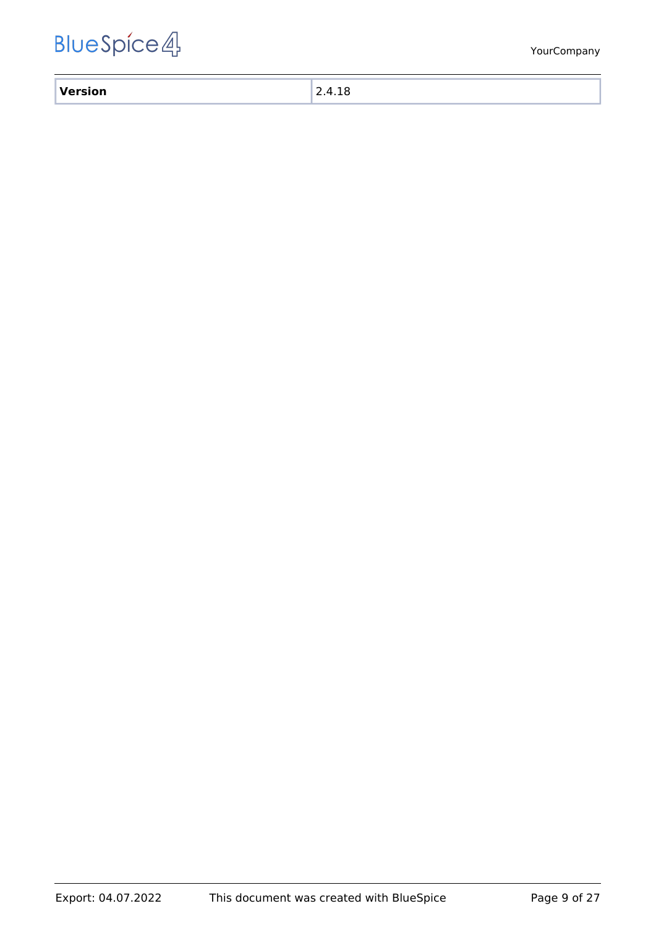| $\mathbf{v}$ |  |
|--------------|--|
| ___          |  |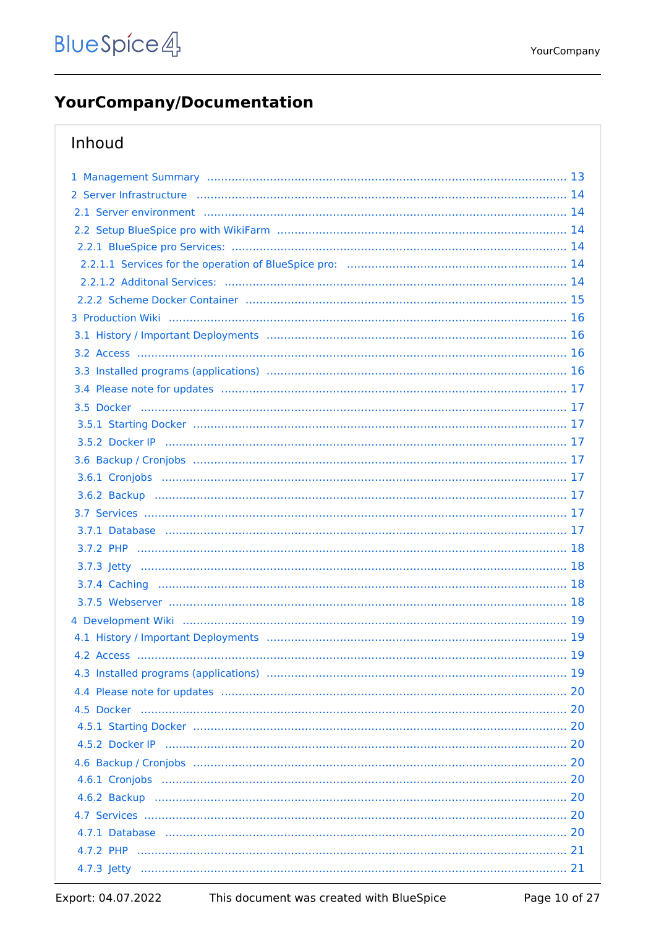# <span id="page-9-0"></span>**YourCompany/Documentation**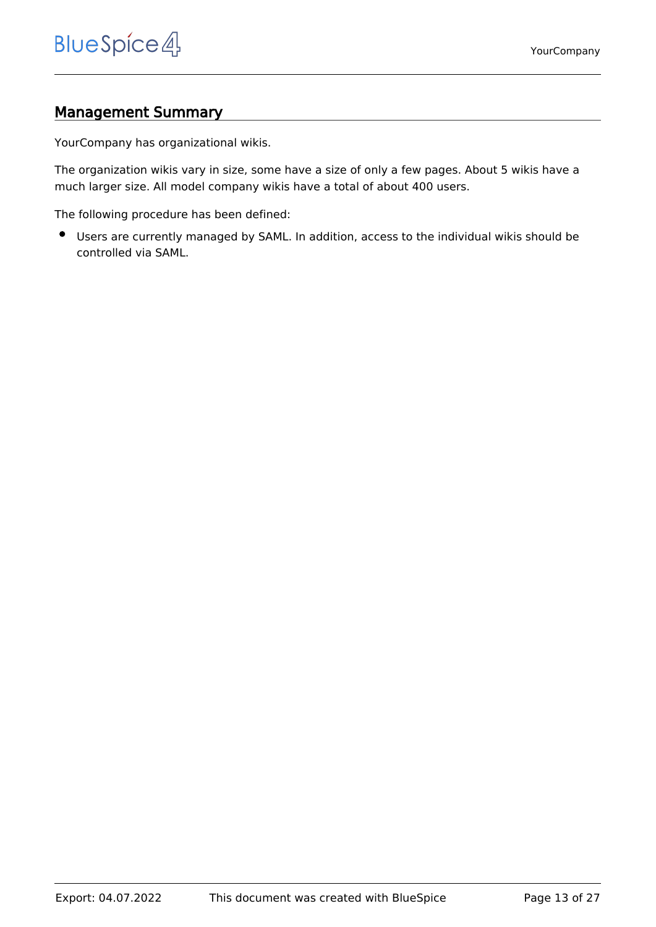# <span id="page-12-0"></span>Management Summary

YourCompany has organizational wikis.

The organization wikis vary in size, some have a size of only a few pages. About 5 wikis have a much larger size. All model company wikis have a total of about 400 users.

The following procedure has been defined:

Users are currently managed by SAML. In addition, access to the individual wikis should be controlled via SAML.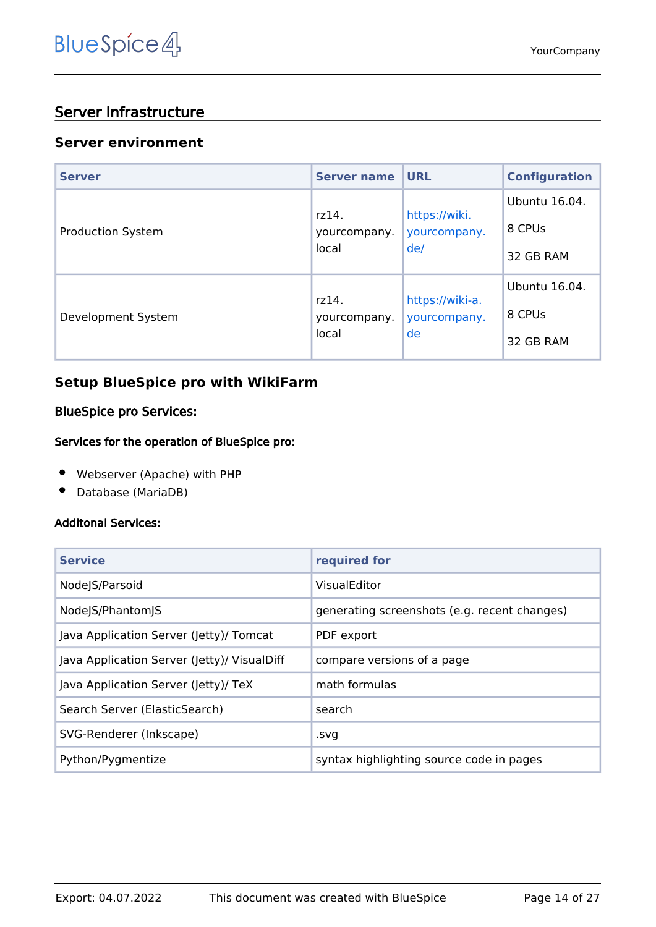# <span id="page-13-0"></span>Server Infrastructure

#### <span id="page-13-1"></span>**Server environment**

| <b>Server</b>            | <b>Server name</b>             | <b>URL</b>                            | <b>Configuration</b> |
|--------------------------|--------------------------------|---------------------------------------|----------------------|
| <b>Production System</b> | rz14.<br>yourcompany.<br>local | https://wiki.<br>yourcompany.<br>de/  | Ubuntu 16.04.        |
|                          |                                |                                       | 8 CPUs               |
|                          |                                |                                       | 32 GB RAM            |
| Development System       | rz14.<br>yourcompany.<br>local | https://wiki-a.<br>yourcompany.<br>de | Ubuntu 16.04.        |
|                          |                                |                                       | 8 CPUs               |
|                          |                                |                                       | 32 GB RAM            |

# <span id="page-13-2"></span>**Setup BlueSpice pro with WikiFarm**

#### <span id="page-13-3"></span>BlueSpice pro Services:

#### <span id="page-13-4"></span>Services for the operation of BlueSpice pro:

- Webserver (Apache) with PHP
- Database (MariaDB)  $\bullet$

#### <span id="page-13-5"></span>Additonal Services:

| <b>Service</b>                              | required for                                 |
|---------------------------------------------|----------------------------------------------|
| NodeJS/Parsoid                              | VisualEditor                                 |
| NodeJS/PhantomJS                            | generating screenshots (e.g. recent changes) |
| Java Application Server (Jetty)/ Tomcat     | PDF export                                   |
| Java Application Server (Jetty)/ VisualDiff | compare versions of a page                   |
| Java Application Server (Jetty)/ TeX        | math formulas                                |
| Search Server (ElasticSearch)               | search                                       |
| SVG-Renderer (Inkscape)                     | .svg                                         |
| Python/Pygmentize                           | syntax highlighting source code in pages     |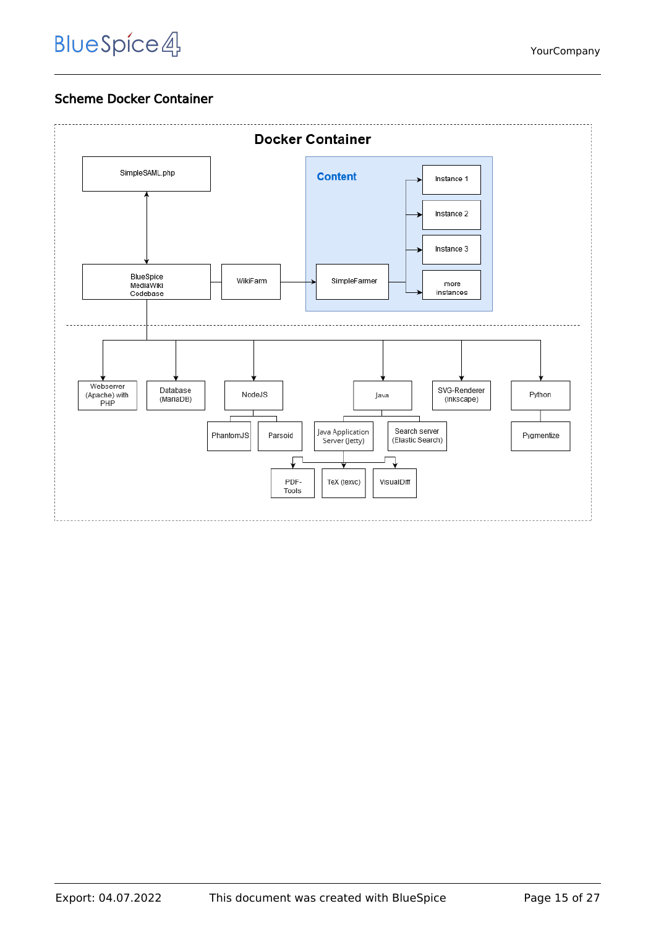# Scheme Docker Container

<span id="page-14-0"></span>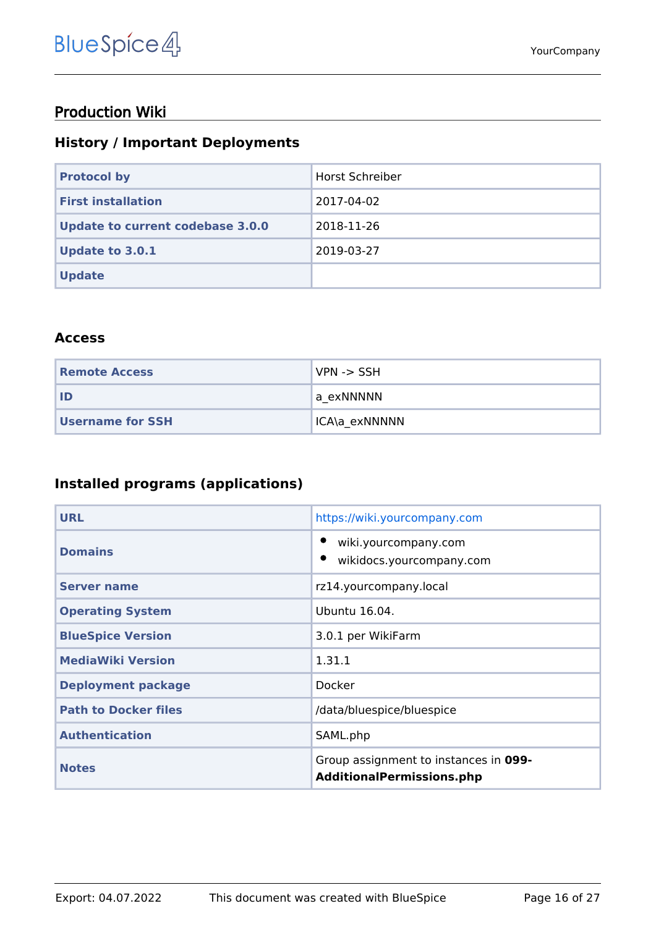# <span id="page-15-0"></span>Production Wiki

# <span id="page-15-1"></span>**History / Important Deployments**

| <b>Protocol by</b>                      | <b>Horst Schreiber</b> |
|-----------------------------------------|------------------------|
| <b>First installation</b>               | 2017-04-02             |
| <b>Update to current codebase 3.0.0</b> | 2018-11-26             |
| <b>Update to 3.0.1</b>                  | 2019-03-27             |
| <b>Update</b>                           |                        |

#### <span id="page-15-2"></span>**Access**

| <b>Remote Access</b> | VPN -> SSH    |
|----------------------|---------------|
| l ID                 | la exNNNNN    |
| Username for SSH     | ICA\a exNNNNN |

# <span id="page-15-3"></span>**Installed programs (applications)**

| <b>URL</b>                  | https://wiki.yourcompany.com                                              |
|-----------------------------|---------------------------------------------------------------------------|
| <b>Domains</b>              | wiki.yourcompany.com<br>wikidocs.yourcompany.com                          |
| <b>Server name</b>          | rz14.yourcompany.local                                                    |
| <b>Operating System</b>     | Ubuntu 16.04.                                                             |
| <b>BlueSpice Version</b>    | 3.0.1 per WikiFarm                                                        |
| <b>MediaWiki Version</b>    | 1.31.1                                                                    |
| <b>Deployment package</b>   | Docker                                                                    |
| <b>Path to Docker files</b> | /data/bluespice/bluespice                                                 |
| <b>Authentication</b>       | SAML.php                                                                  |
| <b>Notes</b>                | Group assignment to instances in 099-<br><b>AdditionalPermissions.php</b> |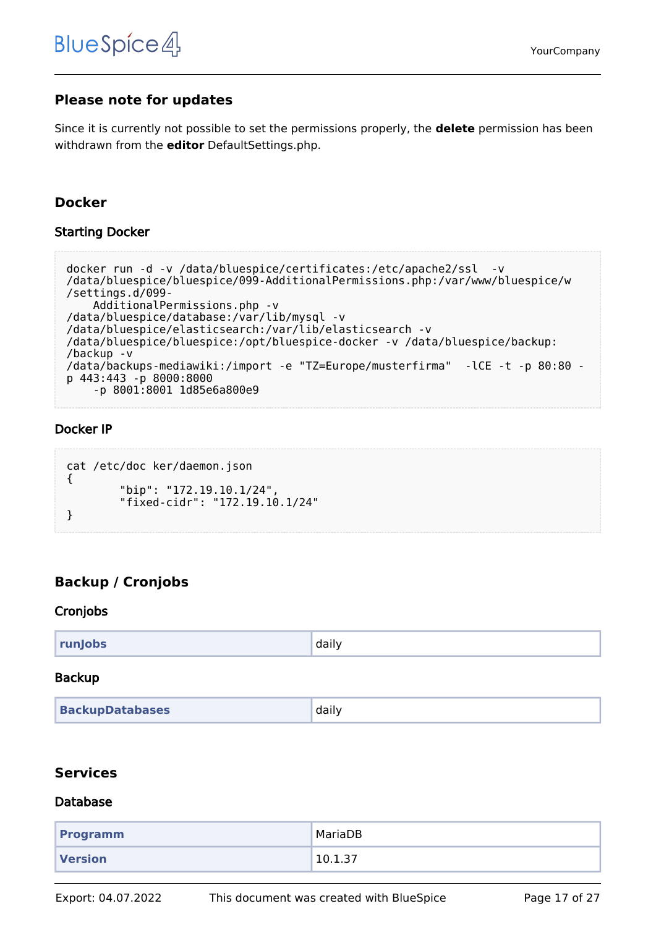## <span id="page-16-0"></span>**Please note for updates**

Since it is currently not possible to set the permissions properly, the **delete** permission has been withdrawn from the **editor** DefaultSettings.php.

## <span id="page-16-1"></span>**Docker**

#### <span id="page-16-2"></span>Starting Docker

```
docker run -d -v /data/bluespice/certificates:/etc/apache2/ssl -v 
/data/bluespice/bluespice/099-AdditionalPermissions.php:/var/www/bluespice/w
/settings.d/099-
     AdditionalPermissions.php -v 
/data/bluespice/database:/var/lib/mysql -v 
/data/bluespice/elasticsearch:/var/lib/elasticsearch -v 
/data/bluespice/bluespice:/opt/bluespice-docker -v /data/bluespice/backup:
/backup -v 
/data/backups-mediawiki:/import -e "TZ=Europe/musterfirma" -lCE -t -p 80:80 -
p 443:443 -p 8000:8000 
     -p 8001:8001 1d85e6a800e9
```
#### <span id="page-16-3"></span>Docker IP

```
cat /etc/doc ker/daemon.json
{
         "bip": "172.19.10.1/24",
         "fixed-cidr": "172.19.10.1/24"
}
```
# <span id="page-16-4"></span>**Backup / Cronjobs**

#### <span id="page-16-5"></span>Cronjobs

| runJobs | daily |
|---------|-------|
|---------|-------|

#### <span id="page-16-6"></span>Backup

| <b>BackupDatabases</b> | daily |
|------------------------|-------|
|------------------------|-------|

#### <span id="page-16-7"></span>**Services**

#### <span id="page-16-8"></span>Database

| <b>Programm</b> | MariaDB |
|-----------------|---------|
| <b>Version</b>  | 10.1.37 |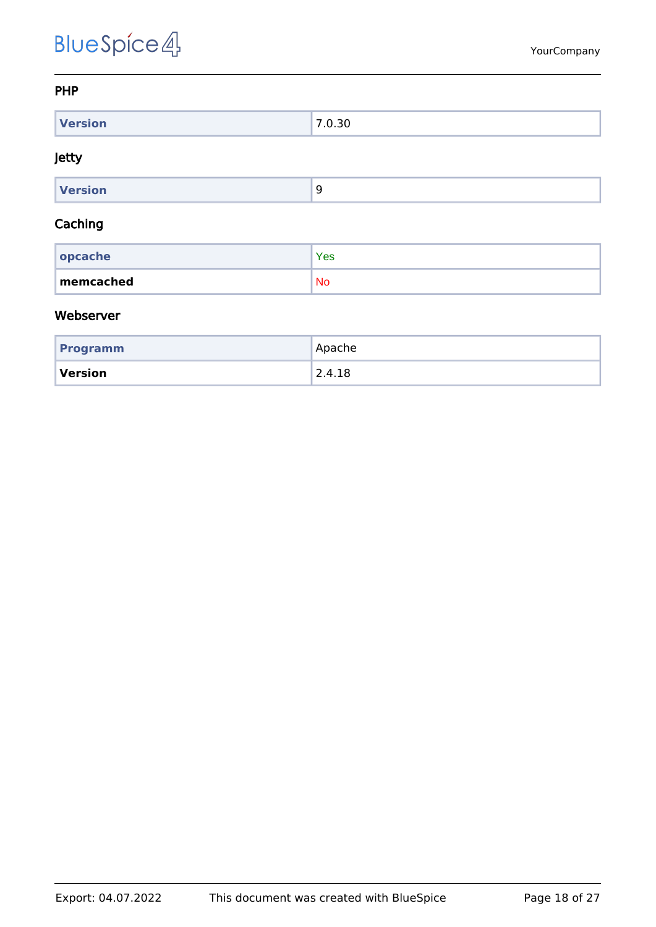#### <span id="page-17-0"></span>PHP

| $M = 1.12$    | -            |
|---------------|--------------|
| W.<br>version | <u>v. Ju</u> |

#### <span id="page-17-1"></span>Jetty

| Version |  |
|---------|--|

#### <span id="page-17-2"></span>Caching

| $ $ opcache | <b>Yes</b> |
|-------------|------------|
| memcached   | <b>No</b>  |

#### <span id="page-17-3"></span>Webserver

| <b>Programm</b> | Apache                 |
|-----------------|------------------------|
| Version         | $^{\backprime}$ 2.4.18 |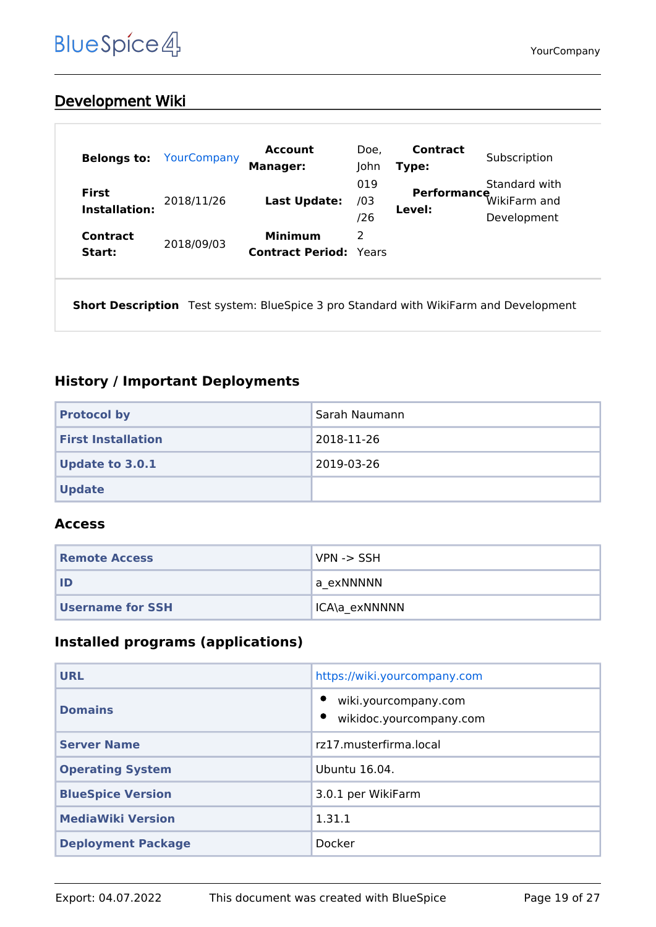# <span id="page-18-0"></span>Development Wiki

| <b>Belongs to:</b>            | YourCompany | <b>Account</b><br><b>Manager:</b>               | Doe,<br>John      | Contract<br>Type:     | Subscription                                 |
|-------------------------------|-------------|-------------------------------------------------|-------------------|-----------------------|----------------------------------------------|
| <b>First</b><br>Installation: | 2018/11/26  | Last Update:                                    | 019<br>/03<br>/26 | Performance<br>Level: | Standard with<br>WikiFarm and<br>Development |
| Contract<br>Start:            | 2018/09/03  | <b>Minimum</b><br><b>Contract Period: Years</b> | 2                 |                       |                                              |

**Short Description** Test system: BlueSpice 3 pro Standard with WikiFarm and Development

# <span id="page-18-1"></span>**History / Important Deployments**

| <b>Protocol by</b>        | Sarah Naumann |
|---------------------------|---------------|
| <b>First Installation</b> | 2018-11-26    |
| <b>Update to 3.0.1</b>    | 2019-03-26    |
| <b>Update</b>             |               |

#### <span id="page-18-2"></span>**Access**

| <b>Remote Access</b>    | $NPN \rightarrow SSH$ |
|-------------------------|-----------------------|
| ID                      | a exNNNNN             |
| <b>Username for SSH</b> | 'ICA\a exNNNNN        |

## <span id="page-18-3"></span>**Installed programs (applications)**

| <b>URL</b>                | https://wiki.yourcompany.com                    |
|---------------------------|-------------------------------------------------|
| <b>Domains</b>            | wiki.yourcompany.com<br>wikidoc.yourcompany.com |
| <b>Server Name</b>        | rz17.musterfirma.local                          |
| <b>Operating System</b>   | Ubuntu 16.04.                                   |
| <b>BlueSpice Version</b>  | 3.0.1 per WikiFarm                              |
| <b>MediaWiki Version</b>  | 1.31.1                                          |
| <b>Deployment Package</b> | Docker                                          |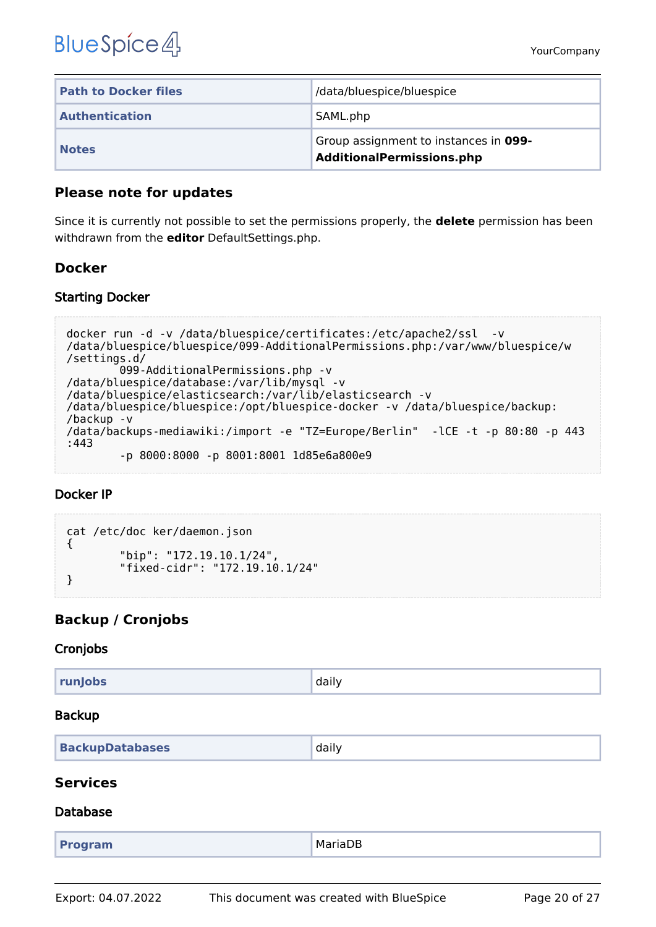| <b>Path to Docker files</b> | /data/bluespice/bluespice                                          |
|-----------------------------|--------------------------------------------------------------------|
| <b>Authentication</b>       | SAML.php                                                           |
| <b>Notes</b>                | Group assignment to instances in 099-<br>AdditionalPermissions.php |

#### <span id="page-19-0"></span>**Please note for updates**

Since it is currently not possible to set the permissions properly, the **delete** permission has been withdrawn from the **editor** DefaultSettings.php.

## <span id="page-19-1"></span>**Docker**

#### <span id="page-19-2"></span>Starting Docker

```
docker run -d -v /data/bluespice/certificates:/etc/apache2/ssl -v 
/data/bluespice/bluespice/099-AdditionalPermissions.php:/var/www/bluespice/w
/settings.d/
         099-AdditionalPermissions.php -v 
/data/bluespice/database:/var/lib/mysql -v 
/data/bluespice/elasticsearch:/var/lib/elasticsearch -v 
/data/bluespice/bluespice:/opt/bluespice-docker -v /data/bluespice/backup:
/backup -v 
/data/backups-mediawiki:/import -e "TZ=Europe/Berlin" -lCE -t -p 80:80 -p 443
:443 
         -p 8000:8000 -p 8001:8001 1d85e6a800e9
```
#### <span id="page-19-3"></span>Docker IP

```
cat /etc/doc ker/daemon.json
{
         "bip": "172.19.10.1/24",
         "fixed-cidr": "172.19.10.1/24"
}
```
# <span id="page-19-4"></span>**Backup / Cronjobs**

#### <span id="page-19-5"></span>Cronjobs

| runJobs | daily |
|---------|-------|
|         |       |

#### <span id="page-19-6"></span>Backup

| <b>BackupDatabases</b> | daily |
|------------------------|-------|
|                        |       |

#### <span id="page-19-7"></span>**Services**

#### <span id="page-19-8"></span>Database

| MariaDB<br><b>Program</b> |
|---------------------------|
|---------------------------|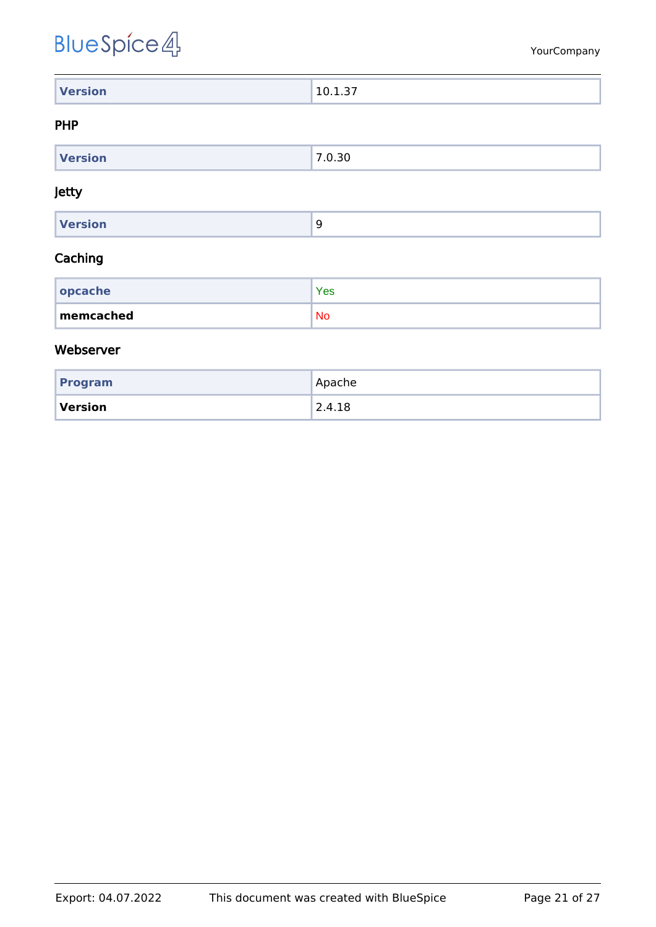| <b>Version</b> | .<br>$10^{-1}$<br>. |
|----------------|---------------------|

#### <span id="page-20-0"></span>PHP

| $M = \frac{1}{2}$<br>rsion | ۔<br>. J U |
|----------------------------|------------|
|                            |            |

#### <span id="page-20-1"></span>Jetty

| <b>Version</b> |  |
|----------------|--|
|                |  |

#### <span id="page-20-2"></span>Caching

| $ $ opcache | Yes       |
|-------------|-----------|
| memcached   | <b>No</b> |

#### <span id="page-20-3"></span>Webserver

| Program | Apache |
|---------|--------|
| Version | 2.4.18 |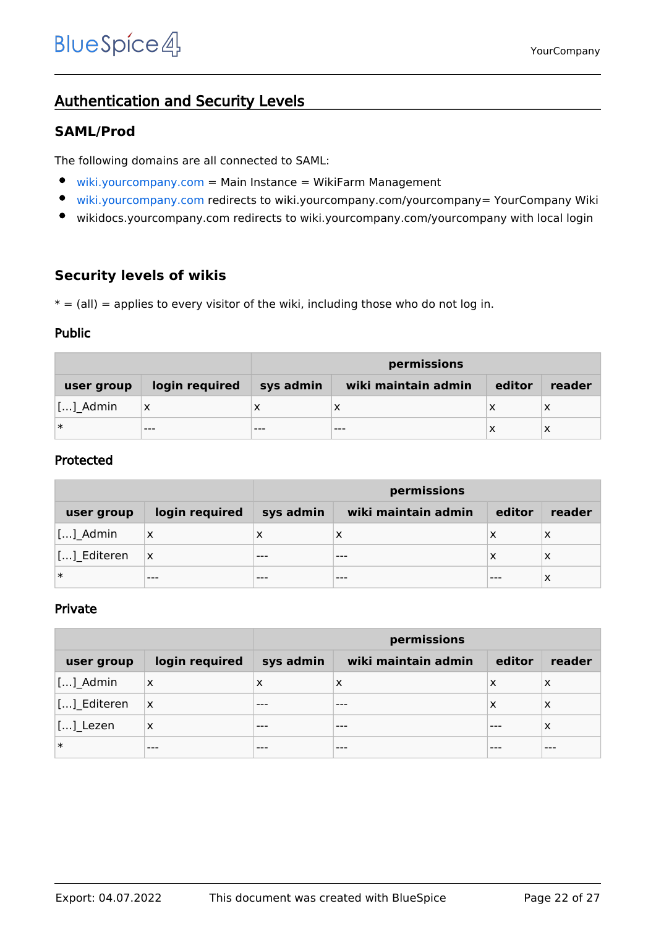# <span id="page-21-0"></span>Authentication and Security Levels

#### <span id="page-21-1"></span>**SAML/Prod**

The following domains are all connected to SAML:

- $\bullet$ [wiki.yourcompany.com](https://wiki.yourcompany.com/w/index.php/Special:SimpleFarmer) = Main Instance = WikiFarm Management
- $\bullet$ [wiki.yourcompany.com](https://wiki.yourcompany.com/yourcompany) redirects to wiki.yourcompany.com/yourcompany= YourCompany Wiki
- $\bullet$ wikidocs.yourcompany.com redirects to wiki.yourcompany.com/yourcompany with local login

#### <span id="page-21-2"></span>**Security levels of wikis**

 $* = (all) =$  applies to every visitor of the wiki, including those who do not log in.

#### <span id="page-21-3"></span>Public

|            |                | permissions |                     |        |        |
|------------|----------------|-------------|---------------------|--------|--------|
| user group | login required | sys admin   | wiki maintain admin | editor | reader |
| []_Admin   | x              |             | ⌒                   | х      | X      |
| ∣∗         | $---$          | $- - -$     | $- - -$             | х      | x      |

#### <span id="page-21-4"></span>Protected

|             |                | permissions |                     |        |        |
|-------------|----------------|-------------|---------------------|--------|--------|
| user group  | login required | sys admin   | wiki maintain admin | editor | reader |
| $[]$ Admin  | $\times$       | х           | x                   | х      | х      |
| [] Editeren | ΙX             | $- - -$     | ---                 | x      | х      |
| ∣∗          | $- - -$        |             |                     |        | х      |

#### <span id="page-21-5"></span>Private

|                             |                           | permissions |                     |        |        |
|-----------------------------|---------------------------|-------------|---------------------|--------|--------|
| user group                  | login required            | sys admin   | wiki maintain admin | editor | reader |
| []_Admin                    | $\boldsymbol{\mathsf{X}}$ | X           | X                   | х      | X      |
| [] Editeren                 | ΙX                        | ---         |                     | х      | X      |
| $\left[\ldots\right]$ Lezen | X                         | $- - -$     | ---                 | ---    | X      |
| $\ast$                      | $- - -$                   | ---         | ---                 | ---    | ---    |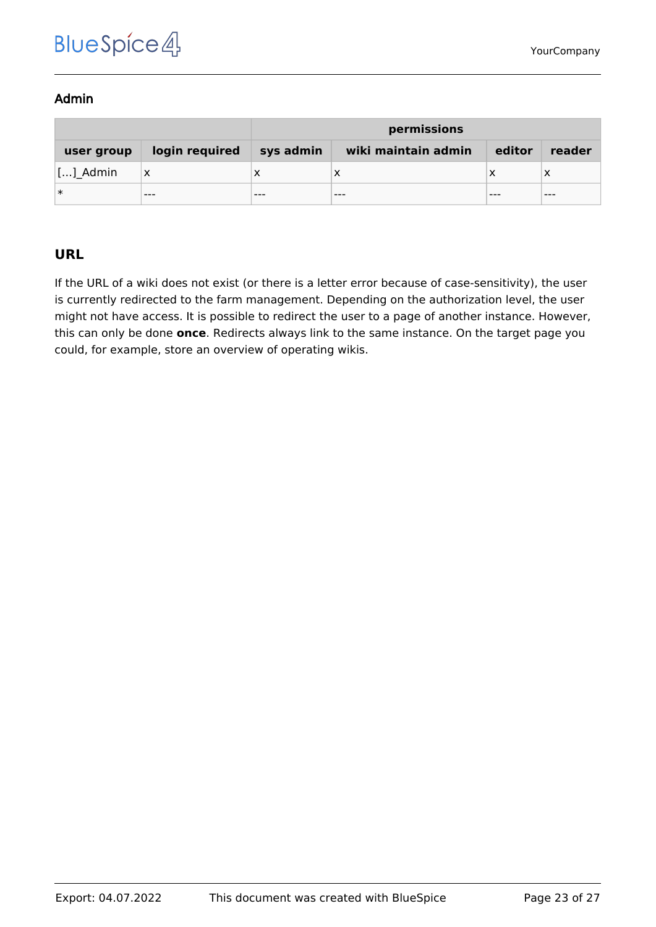#### <span id="page-22-0"></span>Admin

|                    |                | permissions |                     |        |         |
|--------------------|----------------|-------------|---------------------|--------|---------|
| user group         | login required | sys admin   | wiki maintain admin | editor | reader  |
| $\lfloor$ [] Admin | х              |             |                     |        |         |
| ∣∗                 | $- - -$        | $- - -$     | $- - -$             |        | $- - -$ |

# <span id="page-22-1"></span>**URL**

If the URL of a wiki does not exist (or there is a letter error because of case-sensitivity), the user is currently redirected to the farm management. Depending on the authorization level, the user might not have access. It is possible to redirect the user to a page of another instance. However, this can only be done **once**. Redirects always link to the same instance. On the target page you could, for example, store an overview of operating wikis.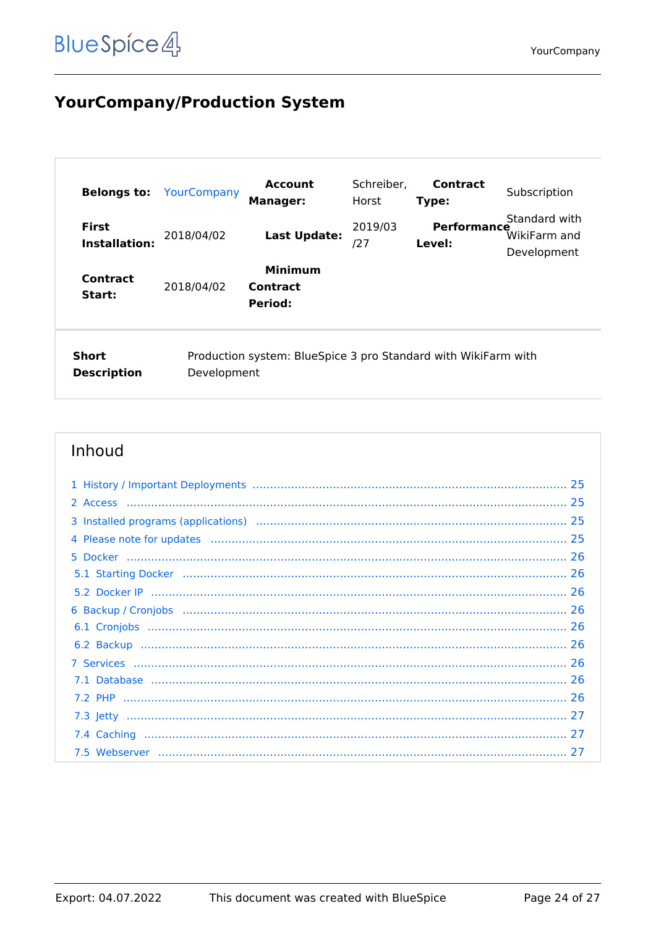# <span id="page-23-0"></span>**YourCompany/Production System**

| <b>Belongs to:</b>                                                                                           | YourCompany | <b>Account</b><br><b>Manager:</b>     | Schreiber,<br>Horst | <b>Contract</b><br>Type:     | Subscription                                 |
|--------------------------------------------------------------------------------------------------------------|-------------|---------------------------------------|---------------------|------------------------------|----------------------------------------------|
| <b>First</b><br>Installation:                                                                                | 2018/04/02  | <b>Last Update:</b>                   | 2019/03<br>127      | <b>Performance</b><br>Level: | Standard with<br>WikiFarm and<br>Development |
| <b>Contract</b><br>Start:                                                                                    | 2018/04/02  | <b>Minimum</b><br>Contract<br>Period: |                     |                              |                                              |
| Short<br>Production system: BlueSpice 3 pro Standard with WikiFarm with<br><b>Description</b><br>Development |             |                                       |                     |                              |                                              |

| 4 Please note for updates manufactured and contact the control of the control of the control of the control of |  |
|----------------------------------------------------------------------------------------------------------------|--|
|                                                                                                                |  |
|                                                                                                                |  |
|                                                                                                                |  |
|                                                                                                                |  |
|                                                                                                                |  |
|                                                                                                                |  |
|                                                                                                                |  |
|                                                                                                                |  |
|                                                                                                                |  |
|                                                                                                                |  |
|                                                                                                                |  |
|                                                                                                                |  |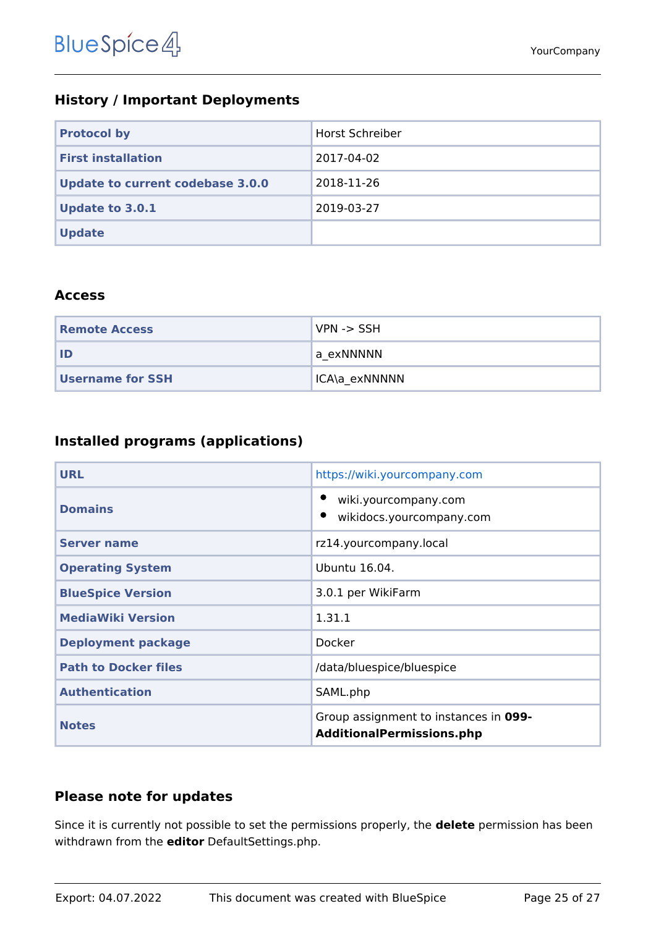# <span id="page-24-0"></span>**History / Important Deployments**

| <b>Protocol by</b>               | Horst Schreiber |
|----------------------------------|-----------------|
| <b>First installation</b>        | 2017-04-02      |
| Update to current codebase 3.0.0 | 2018-11-26      |
| <b>Update to 3.0.1</b>           | 2019-03-27      |
| <b>Update</b>                    |                 |

#### <span id="page-24-1"></span>**Access**

| <b>Remote Access</b>    | VPN -> SSH    |
|-------------------------|---------------|
| ID                      | 'a exNNNNN    |
| <b>Username for SSH</b> | ICA\a exNNNNN |

# <span id="page-24-2"></span>**Installed programs (applications)**

| <b>URL</b>                  | https://wiki.yourcompany.com                                              |
|-----------------------------|---------------------------------------------------------------------------|
| <b>Domains</b>              | wiki.yourcompany.com<br>wikidocs.yourcompany.com                          |
| <b>Server name</b>          | rz14.yourcompany.local                                                    |
| <b>Operating System</b>     | Ubuntu 16.04.                                                             |
| <b>BlueSpice Version</b>    | 3.0.1 per WikiFarm                                                        |
| <b>MediaWiki Version</b>    | 1.31.1                                                                    |
| <b>Deployment package</b>   | Docker                                                                    |
| <b>Path to Docker files</b> | /data/bluespice/bluespice                                                 |
| <b>Authentication</b>       | SAML.php                                                                  |
| <b>Notes</b>                | Group assignment to instances in 099-<br><b>AdditionalPermissions.php</b> |

## <span id="page-24-3"></span>**Please note for updates**

Since it is currently not possible to set the permissions properly, the **delete** permission has been withdrawn from the **editor** DefaultSettings.php.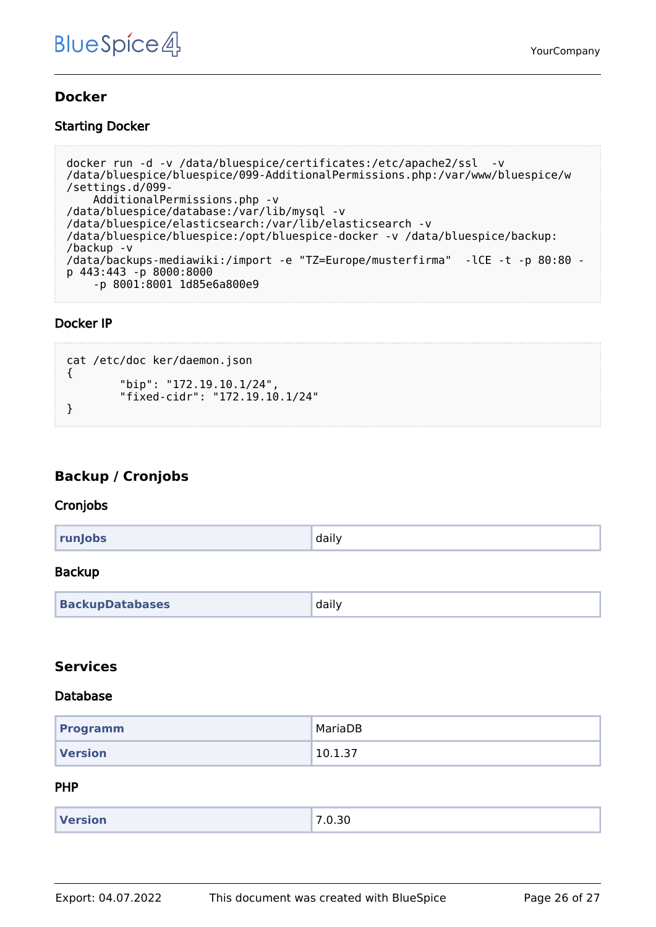#### <span id="page-25-0"></span>**Docker**

#### <span id="page-25-1"></span>Starting Docker

```
docker run -d -v /data/bluespice/certificates:/etc/apache2/ssl -v 
/data/bluespice/bluespice/099-AdditionalPermissions.php:/var/www/bluespice/w
/settings.d/099-
     AdditionalPermissions.php -v 
/data/bluespice/database:/var/lib/mysql -v 
/data/bluespice/elasticsearch:/var/lib/elasticsearch -v 
/data/bluespice/bluespice:/opt/bluespice-docker -v /data/bluespice/backup:
/backup -v 
/data/backups-mediawiki:/import -e "TZ=Europe/musterfirma" -lCE -t -p 80:80 -
p 443:443 -p 8000:8000 
     -p 8001:8001 1d85e6a800e9
```
#### <span id="page-25-2"></span>Docker IP

```
cat /etc/doc ker/daemon.json
{
 "bip": "172.19.10.1/24",
 "fixed-cidr": "172.19.10.1/24"
}
```
## <span id="page-25-3"></span>**Backup / Cronjobs**

#### <span id="page-25-4"></span>Cronjobs

| runJobs | daily |
|---------|-------|
|         |       |

#### <span id="page-25-5"></span>Backup

| <b>BackupDatabases</b> | daily |
|------------------------|-------|
|------------------------|-------|

#### <span id="page-25-6"></span>**Services**

#### <span id="page-25-7"></span>Database

| <b>Programm</b> | MariaDB |
|-----------------|---------|
| <b>Version</b>  | 10.1.37 |

#### <span id="page-25-8"></span>PHP

| <b>Version</b> | 0.30<br>$\overline{\phantom{a}}$<br>- 11<br>. |
|----------------|-----------------------------------------------|
|                |                                               |